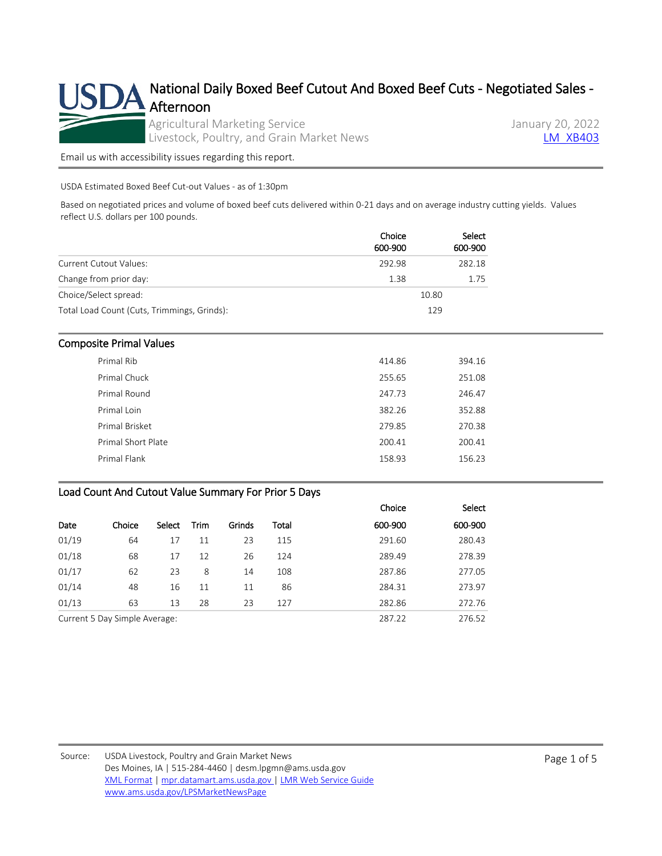

[Email us with accessibility issues regarding this report.](mailto:mpr.lpgmn@ams.usda.gov?subject=508%20Issue)

USDA Estimated Boxed Beef Cut-out Values - as of 1:30pm

Based on negotiated prices and volume of boxed beef cuts delivered within 0-21 days and on average industry cutting yields. Values reflect U.S. dollars per 100 pounds.

|                                             | Choice<br>600-900 | Select<br>600-900 |
|---------------------------------------------|-------------------|-------------------|
| <b>Current Cutout Values:</b>               | 292.98            | 282.18            |
| Change from prior day:                      | 1.38              | 1.75              |
| Choice/Select spread:                       |                   | 10.80             |
| Total Load Count (Cuts, Trimmings, Grinds): |                   | 129               |

#### Composite Primal Values

| Primal Rib         | 414.86 | 394.16 |
|--------------------|--------|--------|
| Primal Chuck       | 255.65 | 251.08 |
| Primal Round       | 247.73 | 246.47 |
| Primal Loin        | 382.26 | 352.88 |
| Primal Brisket     | 279.85 | 270.38 |
| Primal Short Plate | 200.41 | 200.41 |
| Primal Flank       | 158.93 | 156.23 |
|                    |        |        |

#### Load Count And Cutout Value Summary For Prior 5 Days

|                               |        |        |             |        |        | Choice  | Select  |
|-------------------------------|--------|--------|-------------|--------|--------|---------|---------|
| Date                          | Choice | Select | <b>Trim</b> | Grinds | Total  | 600-900 | 600-900 |
| 01/19                         | 64     | 17     | 11          | 23     | 115    | 291.60  | 280.43  |
| 01/18                         | 68     | 17     | 12          | 26     | 124    | 289.49  | 278.39  |
| 01/17                         | 62     | 23     | 8           | 14     | 108    | 287.86  | 277.05  |
| 01/14                         | 48     | 16     | 11          | 11     | 86     | 284.31  | 273.97  |
| 01/13                         | 63     | 13     | 28          | 23     | 127    | 282.86  | 272.76  |
| Current 5 Day Simple Average: |        |        |             |        | 287.22 | 276.52  |         |

Source: USDA Livestock, Poultry and Grain Market News Des Moines, IA | 515-284-4460 | desm.lpgmn@ams.usda.gov [XML Format](https://mpr.datamart.ams.usda.gov/ws/report/v1/xb/LM_XB403?filter=%7B%22filters%22:%5B%7B%22fieldName%22:%22Report%20date%22,%22operatorType%22:%22EQUAL%22,%22values%22:%5B%221/20/2022%22%5D%7D%5D%7D) | [mpr.datamart.ams.usda.gov](https://mpr.datamart.ams.usda.gov/) | [LMR Web Service Guide](https://www.marketnews.usda.gov/mnp/assets/ls/USDA-LMR-WebService-Client-User-Guide-v1_prod.pdf) [www.ams.usda.gov/LPSMarketNewsPage](https://www.ams.usda.gov/LPSMarketNewsPage)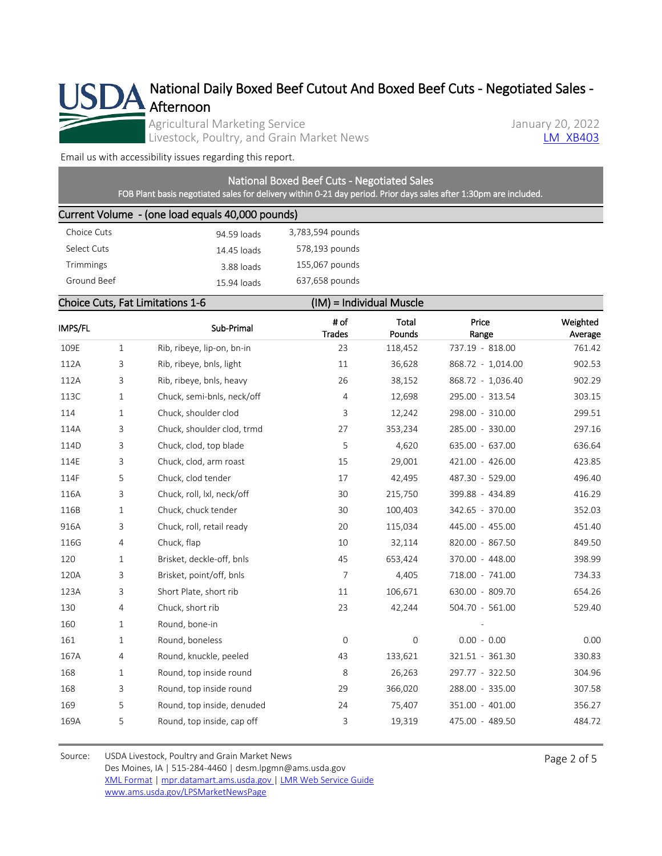

National Daily Boxed Beef Cutout And Boxed Beef Cuts - Negotiated Sales - Afternoon

Agricultural Marketing Service<br>
Livestock, Poultry, and Grain Market News<br>
Lanuary 20, 2022 Livestock, Poultry, and Grain Market News

[Email us with accessibility issues regarding this report.](mailto:mpr.lpgmn@ams.usda.gov?subject=508%20Issue)

# National Boxed Beef Cuts - Negotiated Sales

FOB Plant basis negotiated sales for delivery within 0-21 day period. Prior days sales after 1:30pm are included.

### Current Volume - (one load equals 40,000 pounds)

| 94.59 loads | 3,783,594 pounds |
|-------------|------------------|
| 14.45 loads | 578,193 pounds   |
| 3.88 loads  | 155,067 pounds   |
| 15.94 loads | 637,658 pounds   |
|             |                  |

## Choice Cuts, Fat Limitations 1-6 (IM) = Individual Muscle

| IMPS/FL |              | Sub-Primal                 | # of<br>Trades | <b>Total</b><br>Pounds | Price<br>Range    | Weighted<br>Average |
|---------|--------------|----------------------------|----------------|------------------------|-------------------|---------------------|
| 109E    | $\mathbf{1}$ | Rib, ribeye, lip-on, bn-in | 23             | 118,452                | 737.19 - 818.00   | 761.42              |
| 112A    | 3            | Rib, ribeye, bnls, light   | 11             | 36,628                 | 868.72 - 1,014.00 | 902.53              |
| 112A    | 3            | Rib, ribeye, bnls, heavy   | 26             | 38,152                 | 868.72 - 1,036.40 | 902.29              |
| 113C    | 1            | Chuck, semi-bnls, neck/off | $\overline{4}$ | 12,698                 | 295.00 - 313.54   | 303.15              |
| 114     | $\mathbf{1}$ | Chuck, shoulder clod       | 3              | 12,242                 | 298.00 - 310.00   | 299.51              |
| 114A    | 3            | Chuck, shoulder clod, trmd | 27             | 353,234                | 285.00 - 330.00   | 297.16              |
| 114D    | 3            | Chuck, clod, top blade     | 5              | 4,620                  | 635.00 - 637.00   | 636.64              |
| 114E    | 3            | Chuck, clod, arm roast     | 15             | 29,001                 | 421.00 - 426.00   | 423.85              |
| 114F    | 5            | Chuck, clod tender         | 17             | 42,495                 | 487.30 - 529.00   | 496.40              |
| 116A    | 3            | Chuck, roll, lxl, neck/off | 30             | 215,750                | 399.88 - 434.89   | 416.29              |
| 116B    | $\mathbf{1}$ | Chuck, chuck tender        | 30             | 100,403                | 342.65 - 370.00   | 352.03              |
| 916A    | 3            | Chuck, roll, retail ready  | 20             | 115,034                | 445.00 - 455.00   | 451.40              |
| 116G    | 4            | Chuck, flap                | 10             | 32,114                 | 820.00 - 867.50   | 849.50              |
| 120     | 1            | Brisket, deckle-off, bnls  | 45             | 653,424                | 370.00 - 448.00   | 398.99              |
| 120A    | 3            | Brisket, point/off, bnls   | $\overline{7}$ | 4,405                  | 718.00 - 741.00   | 734.33              |
| 123A    | 3            | Short Plate, short rib     | 11             | 106,671                | 630.00 - 809.70   | 654.26              |
| 130     | 4            | Chuck, short rib           | 23             | 42,244                 | 504.70 - 561.00   | 529.40              |
| 160     | 1            | Round, bone-in             |                |                        |                   |                     |
| 161     | $\mathbf{1}$ | Round, boneless            | $\mathbf 0$    | $\overline{0}$         | $0.00 - 0.00$     | 0.00                |
| 167A    | 4            | Round, knuckle, peeled     | 43             | 133,621                | 321.51 - 361.30   | 330.83              |
| 168     | $\mathbf{1}$ | Round, top inside round    | 8              | 26,263                 | 297.77 - 322.50   | 304.96              |
| 168     | 3            | Round, top inside round    | 29             | 366,020                | 288.00 - 335.00   | 307.58              |
| 169     | 5            | Round, top inside, denuded | 24             | 75,407                 | 351.00 - 401.00   | 356.27              |
| 169A    | 5            | Round, top inside, cap off | 3              | 19,319                 | 475.00 - 489.50   | 484.72              |
|         |              |                            |                |                        |                   |                     |

Source: USDA Livestock, Poultry and Grain Market News Des Moines, IA | 515-284-4460 | desm.lpgmn@ams.usda.gov [XML Format](https://mpr.datamart.ams.usda.gov/ws/report/v1/xb/LM_XB403?filter=%7B%22filters%22:%5B%7B%22fieldName%22:%22Report%20date%22,%22operatorType%22:%22EQUAL%22,%22values%22:%5B%221/20/2022%22%5D%7D%5D%7D) | [mpr.datamart.ams.usda.gov](https://mpr.datamart.ams.usda.gov/) | [LMR Web Service Guide](https://www.marketnews.usda.gov/mnp/assets/ls/USDA-LMR-WebService-Client-User-Guide-v1_prod.pdf) [www.ams.usda.gov/LPSMarketNewsPage](https://www.ams.usda.gov/LPSMarketNewsPage)

Page 2 of 5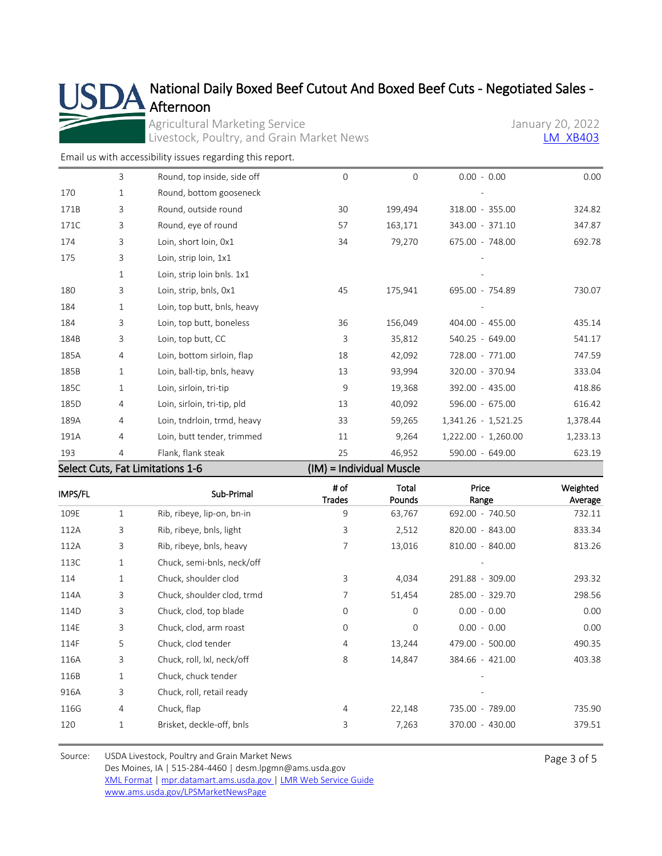# National Daily Boxed Beef Cutout And Boxed Beef Cuts - Negotiated Sales - Afternoon

Agricultural Marketing Service<br>
Livestock, Poultry, and Grain Market News<br>
LA XB403 Livestock, Poultry, and Grain Market News

[Email us with accessibility issues regarding this report.](mailto:mpr.lpgmn@ams.usda.gov?subject=508%20Issue)

SL

|      |   | $C$ alaat $C$ ute. $\Gamma$ at Limitations 1. $C$ |              | $(10.4)$ = $1$ ndividual Musala |                     |          |
|------|---|---------------------------------------------------|--------------|---------------------------------|---------------------|----------|
| 193  | 4 | Flank, flank steak                                | 25           | 46,952                          | 590.00 - 649.00     | 623.19   |
| 191A | 4 | Loin, butt tender, trimmed                        | 11           | 9,264                           | 1,222.00 - 1,260.00 | 1,233.13 |
| 189A | 4 | Loin, tndrloin, trmd, heavy                       | 33           | 59,265                          | 1,341.26 - 1,521.25 | 1,378.44 |
| 185D | 4 | Loin, sirloin, tri-tip, pld                       | 13           | 40,092                          | 596.00 - 675.00     | 616.42   |
| 185C | 1 | Loin, sirloin, tri-tip                            | 9            | 19,368                          | 392.00 - 435.00     | 418.86   |
| 185B | 1 | Loin, ball-tip, bnls, heavy                       | 13           | 93,994                          | 320.00 - 370.94     | 333.04   |
| 185A | 4 | Loin, bottom sirloin, flap                        | 18           | 42,092                          | 728.00 - 771.00     | 747.59   |
| 184B | 3 | Loin, top butt, CC                                | 3            | 35,812                          | 540.25 - 649.00     | 541.17   |
| 184  | 3 | Loin, top butt, boneless                          | 36           | 156,049                         | 404.00 - 455.00     | 435.14   |
| 184  | 1 | Loin, top butt, bnls, heavy                       |              |                                 |                     |          |
| 180  | 3 | Loin, strip, bnls, 0x1                            | 45           | 175,941                         | 695.00 - 754.89     | 730.07   |
|      | 1 | Loin, strip loin bnls. 1x1                        |              |                                 |                     |          |
| 175  | 3 | Loin, strip loin, 1x1                             |              |                                 |                     |          |
| 174  | 3 | Loin, short loin, 0x1                             | 34           | 79,270                          | 675.00 - 748.00     | 692.78   |
| 171C | 3 | Round, eye of round                               | 57           | 163,171                         | 343.00 - 371.10     | 347.87   |
| 171B | 3 | Round, outside round                              | 30           | 199,494                         | 318.00 - 355.00     | 324.82   |
| 170  | 1 | Round, bottom gooseneck                           |              |                                 |                     |          |
|      | 3 | Round, top inside, side off                       | $\mathbf{0}$ | $\Omega$                        | $0.00 - 0.00$       | 0.00     |

Select Cuts, Fat Limitations 1-6 (IM) = Individual Muscle

| IMPS/FL |              | Sub-Primal                 | # of<br><b>Trades</b> | Total<br>Pounds | Price<br>Range  | Weighted<br>Average |
|---------|--------------|----------------------------|-----------------------|-----------------|-----------------|---------------------|
| 109E    | 1            | Rib, ribeye, lip-on, bn-in | 9                     | 63,767          | 692.00 - 740.50 | 732.11              |
| 112A    | 3            | Rib, ribeye, bnls, light   | 3                     | 2,512           | 820.00 - 843.00 | 833.34              |
| 112A    | 3            | Rib, ribeye, bnls, heavy   | 7                     | 13,016          | 810.00 - 840.00 | 813.26              |
| 113C    | $\mathbf{1}$ | Chuck, semi-bnls, neck/off |                       |                 |                 |                     |
| 114     | 1            | Chuck, shoulder clod       | 3                     | 4,034           | 291.88 - 309.00 | 293.32              |
| 114A    | 3            | Chuck, shoulder clod, trmd | 7                     | 51,454          | 285.00 - 329.70 | 298.56              |
| 114D    | 3            | Chuck, clod, top blade     | 0                     | $\mathbf 0$     | $0.00 - 0.00$   | 0.00                |
| 114E    | 3            | Chuck, clod, arm roast     | $\mathbf{O}$          | $\Omega$        | $0.00 - 0.00$   | 0.00                |
| 114F    | 5            | Chuck, clod tender         | 4                     | 13,244          | 479.00 - 500.00 | 490.35              |
| 116A    | 3            | Chuck, roll, lxl, neck/off | 8                     | 14,847          | 384.66 - 421.00 | 403.38              |
| 116B    | 1            | Chuck, chuck tender        |                       |                 |                 |                     |
| 916A    | 3            | Chuck, roll, retail ready  |                       |                 |                 |                     |
| 116G    | 4            | Chuck, flap                | 4                     | 22,148          | 735.00 - 789.00 | 735.90              |
| 120     | 1            | Brisket, deckle-off, bnls  | 3                     | 7,263           | 370.00 - 430.00 | 379.51              |

Source: USDA Livestock, Poultry and Grain Market News Des Moines, IA | 515-284-4460 | desm.lpgmn@ams.usda.gov [XML Format](https://mpr.datamart.ams.usda.gov/ws/report/v1/xb/LM_XB403?filter=%7B%22filters%22:%5B%7B%22fieldName%22:%22Report%20date%22,%22operatorType%22:%22EQUAL%22,%22values%22:%5B%221/20/2022%22%5D%7D%5D%7D) | [mpr.datamart.ams.usda.gov](https://mpr.datamart.ams.usda.gov/) | [LMR Web Service Guide](https://www.marketnews.usda.gov/mnp/assets/ls/USDA-LMR-WebService-Client-User-Guide-v1_prod.pdf) [www.ams.usda.gov/LPSMarketNewsPage](https://www.ams.usda.gov/LPSMarketNewsPage)

Page 3 of 5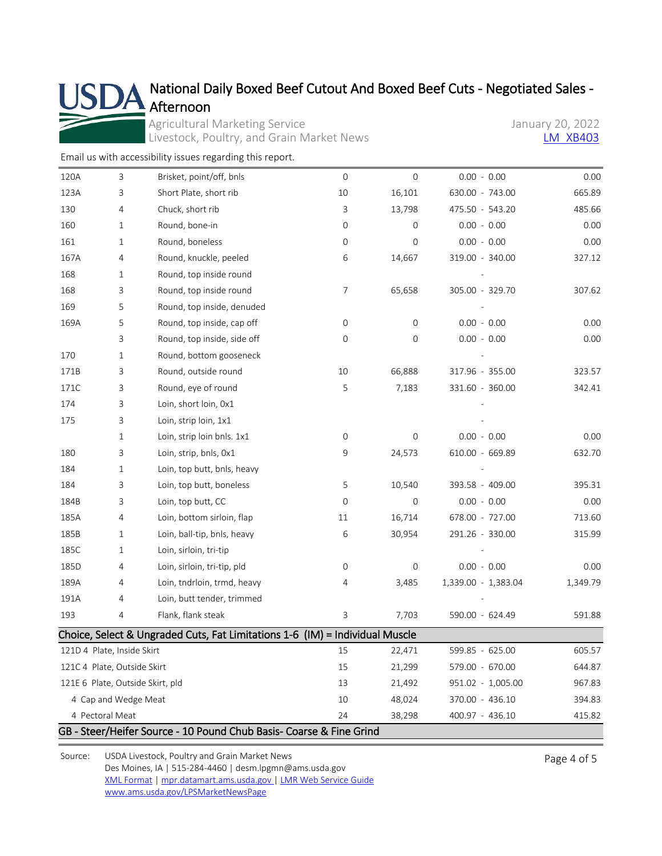

# National Daily Boxed Beef Cutout And Boxed Beef Cuts - Negotiated Sales -

Agricultural Marketing Service<br>
Livestock, Poultry, and Grain Market News<br>
LA XB403 Livestock, Poultry, and Grain Market News

[Email us with accessibility issues regarding this report.](mailto:mpr.lpgmn@ams.usda.gov?subject=508%20Issue)

| 120A | 3                           | Brisket, point/off, bnls                                                     | $\mathsf{O}\xspace$ | 0                | $0.00 - 0.00$       | 0.00     |
|------|-----------------------------|------------------------------------------------------------------------------|---------------------|------------------|---------------------|----------|
| 123A | 3                           | Short Plate, short rib                                                       | 10                  | 16,101           | 630.00 - 743.00     | 665.89   |
| 130  | 4                           | Chuck, short rib                                                             | 3                   | 13,798           | 475.50 - 543.20     | 485.66   |
| 160  | 1                           | Round, bone-in                                                               | $\mathbf{0}$        | $\mathbf{O}$     | $0.00 - 0.00$       | 0.00     |
| 161  | 1                           | Round, boneless                                                              | $\mathsf{O}\xspace$ | 0                | $0.00 - 0.00$       | 0.00     |
| 167A | 4                           | Round, knuckle, peeled                                                       | 6                   | 14,667           | 319.00 - 340.00     | 327.12   |
| 168  | 1                           | Round, top inside round                                                      |                     |                  |                     |          |
| 168  | 3                           | Round, top inside round                                                      | 7                   | 65,658           | 305.00 - 329.70     | 307.62   |
| 169  | 5                           | Round, top inside, denuded                                                   |                     |                  |                     |          |
| 169A | 5                           | Round, top inside, cap off                                                   | 0                   | $\mathbf 0$      | $0.00 - 0.00$       | 0.00     |
|      | 3                           | Round, top inside, side off                                                  | 0                   | 0                | $0.00 - 0.00$       | 0.00     |
| 170  | 1                           | Round, bottom gooseneck                                                      |                     |                  |                     |          |
| 171B | 3                           | Round, outside round                                                         | 10                  | 66,888           | 317.96 - 355.00     | 323.57   |
| 171C | 3                           | Round, eye of round                                                          | 5                   | 7,183            | 331.60 - 360.00     | 342.41   |
| 174  | 3                           | Loin, short loin, 0x1                                                        |                     |                  |                     |          |
| 175  | 3                           | Loin, strip loin, 1x1                                                        |                     |                  |                     |          |
|      | 1                           | Loin, strip loin bnls. 1x1                                                   | $\mathsf{O}\xspace$ | 0                | $0.00 - 0.00$       | 0.00     |
| 180  | 3                           | Loin, strip, bnls, 0x1                                                       | 9                   | 24,573           | 610.00 - 669.89     | 632.70   |
| 184  | 1                           | Loin, top butt, bnls, heavy                                                  |                     |                  |                     |          |
| 184  | 3                           | Loin, top butt, boneless                                                     | 5                   | 10,540           | 393.58 - 409.00     | 395.31   |
| 184B | 3                           | Loin, top butt, CC                                                           | $\mathbf 0$         | 0                | $0.00 - 0.00$       | 0.00     |
| 185A | 4                           | Loin, bottom sirloin, flap                                                   | 11                  | 16,714           | 678.00 - 727.00     | 713.60   |
| 185B | 1                           | Loin, ball-tip, bnls, heavy                                                  | 6                   | 30,954           | 291.26 - 330.00     | 315.99   |
| 185C | 1                           | Loin, sirloin, tri-tip                                                       |                     |                  |                     |          |
| 185D | 4                           | Loin, sirloin, tri-tip, pld                                                  | $\mathsf{O}\xspace$ | $\boldsymbol{0}$ | $0.00 - 0.00$       | 0.00     |
| 189A | 4                           | Loin, tndrloin, trmd, heavy                                                  | 4                   | 3,485            | 1,339.00 - 1,383.04 | 1,349.79 |
| 191A | 4                           | Loin, butt tender, trimmed                                                   |                     |                  |                     |          |
| 193  | 4                           | Flank, flank steak                                                           | 3                   | 7,703            | 590.00 - 624.49     | 591.88   |
|      |                             | Choice, Select & Ungraded Cuts, Fat Limitations 1-6 (IM) = Individual Muscle |                     |                  |                     |          |
|      | 121D 4 Plate, Inside Skirt  |                                                                              | 15                  | 22,471           | 599.85 - 625.00     | 605.57   |
|      | 121C 4 Plate, Outside Skirt |                                                                              | 15                  | 21,299           | 579.00 - 670.00     | 644.87   |
|      |                             | 121E 6 Plate, Outside Skirt, pld                                             | 13                  | 21,492           | 951.02 - 1,005.00   | 967.83   |
|      | 4 Cap and Wedge Meat        |                                                                              | 10                  | 48,024           | 370.00 - 436.10     | 394.83   |
|      | 4 Pectoral Meat             |                                                                              | 24                  | 38,298           | 400.97 - 436.10     | 415.82   |
|      |                             | GB - Steer/Heifer Source - 10 Pound Chub Basis- Coarse & Fine Grind          |                     |                  |                     |          |

Source: USDA Livestock, Poultry and Grain Market News Des Moines, IA | 515-284-4460 | desm.lpgmn@ams.usda.gov [XML Format](https://mpr.datamart.ams.usda.gov/ws/report/v1/xb/LM_XB403?filter=%7B%22filters%22:%5B%7B%22fieldName%22:%22Report%20date%22,%22operatorType%22:%22EQUAL%22,%22values%22:%5B%221/20/2022%22%5D%7D%5D%7D) | [mpr.datamart.ams.usda.gov](https://mpr.datamart.ams.usda.gov/) | [LMR Web Service Guide](https://www.marketnews.usda.gov/mnp/assets/ls/USDA-LMR-WebService-Client-User-Guide-v1_prod.pdf) [www.ams.usda.gov/LPSMarketNewsPage](https://www.ams.usda.gov/LPSMarketNewsPage)